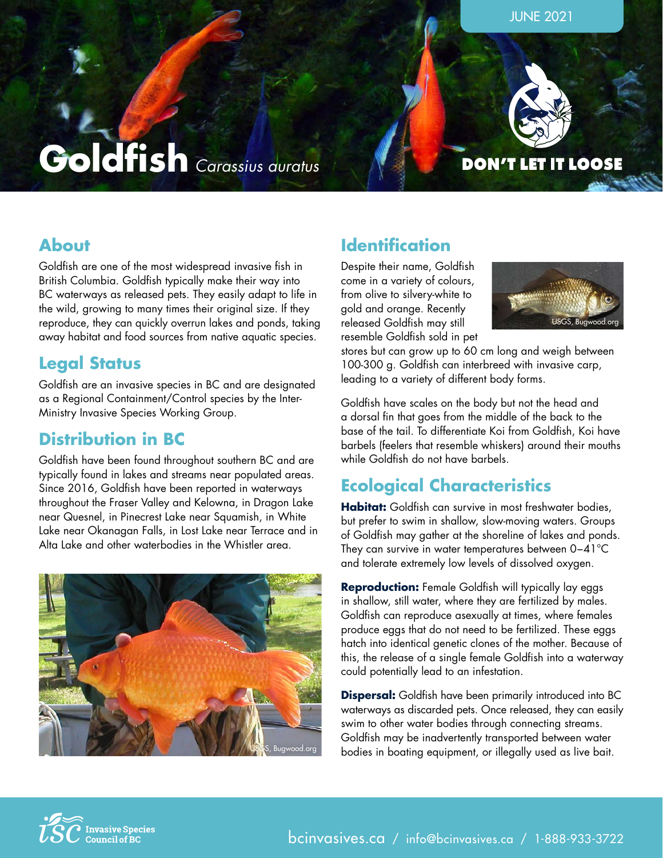



JUNE 2021

#### **DON'T LET IT LOOSE**

### **About**

Goldfish are one of the most widespread invasive fish in British Columbia. Goldfish typically make their way into BC waterways as released pets. They easily adapt to life in the wild, growing to many times their original size. If they reproduce, they can quickly overrun lakes and ponds, taking away habitat and food sources from native aquatic species.

### **Legal Status**

Goldfish are an invasive species in BC and are designated as a Regional Containment/Control species by the Inter-Ministry Invasive Species Working Group.

### **Distribution in BC**

Goldfish have been found throughout southern BC and are typically found in lakes and streams near populated areas. Since 2016, Goldfish have been reported in waterways throughout the Fraser Valley and Kelowna, in Dragon Lake near Quesnel, in Pinecrest Lake near Squamish, in White Lake near Okanagan Falls, in Lost Lake near Terrace and in Alta Lake and other waterbodies in the Whistler area.



### **Identification**

Despite their name, Goldfish come in a variety of colours, from olive to silvery-white to gold and orange. Recently released Goldfish may still resemble Goldfish sold in pet



stores but can grow up to 60 cm long and weigh between 100-300 g. Goldfish can interbreed with invasive carp, leading to a variety of different body forms.

Goldfish have scales on the body but not the head and a dorsal fin that goes from the middle of the back to the base of the tail. To differentiate Koi from Goldfish, Koi have barbels (feelers that resemble whiskers) around their mouths while Goldfish do not have barbels.

## **Ecological Characteristics**

**Habitat:** Goldfish can survive in most freshwater bodies, but prefer to swim in shallow, slow-moving waters. Groups of Goldfish may gather at the shoreline of lakes and ponds. They can survive in water temperatures between 0−41°C and tolerate extremely low levels of dissolved oxygen.

**Reproduction:** Female Goldfish will typically lay eggs in shallow, still water, where they are fertilized by males. Goldfish can reproduce asexually at times, where females produce eggs that do not need to be fertilized. These eggs hatch into identical genetic clones of the mother. Because of this, the release of a single female Goldfish into a waterway could potentially lead to an infestation.

**Dispersal:** Goldfish have been primarily introduced into BC waterways as discarded pets. Once released, they can easily swim to other water bodies through connecting streams. Goldfish may be inadvertently transported between water bodies in boating equipment, or illegally used as live bait.